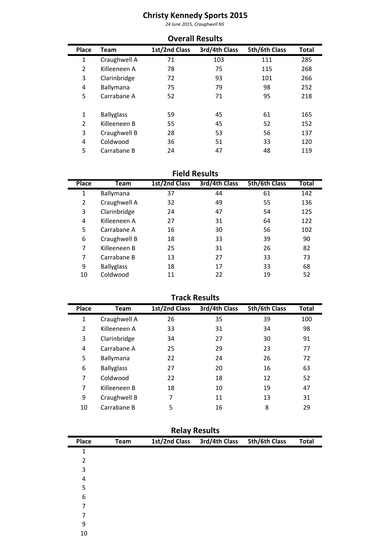## **y Sports 2015**<br><sub>Craughwell Ns</sub><br>Results **Kennedy Sports <sup>2015</sup>** *June 2015, Craughwell NS*

|       |                   |               | <b>Overall Results</b> |               |       |
|-------|-------------------|---------------|------------------------|---------------|-------|
| Place | <b>Team</b>       | 1st/2nd Class | 3rd/4th Class          | 5th/6th Class | Total |
| 1     | Craughwell A      | 71            | 103                    | 111           | 285   |
| 2     | Killeeneen A      | 78            | 75                     | 115           | 268   |
| 3     | Clarinbridge      | 72            | 93                     | 101           | 266   |
| 4     | Ballymana         | 75            | 79                     | 98            | 252   |
| 5     | Carrabane A       | 52            | 71                     | 95            | 218   |
| 1     | <b>Ballyglass</b> | 59            | 45                     | 61            | 165   |
| 2     | Killeeneen B      | 55            | 45                     | 52            | 152   |
| 3     | Craughwell B      | 28            | 53                     | 56            | 137   |
| 4     | Coldwood          | 36            | 51                     | 33            | 120   |
| 5     | Carrabane B       | 24            | 47                     | 48            | 119   |

| 5            | Carrabane B       | 24                   | 47                   | 48            | 119   |
|--------------|-------------------|----------------------|----------------------|---------------|-------|
|              |                   |                      | <b>Field Results</b> |               |       |
| <b>Place</b> | Team              | <b>1st/2nd Class</b> | 3rd/4th Class        | 5th/6th Class | Total |
| 1            | Ballymana         | 37                   | 44                   | 61            | 142   |
| 2            | Craughwell A      | 32                   | 49                   | 55            | 136   |
| 3            | Clarinbridge      | 24                   | 47                   | 54            | 125   |
| 4            | Killeeneen A      | 27                   | 31                   | 64            | 122   |
| 5            | Carrabane A       | 16                   | 30                   | 56            | 102   |
| 6            | Craughwell B      | 18                   | 33                   | 39            | 90    |
| 7            | Killeeneen B      | 25                   | 31                   | 26            | 82    |
| 7            | Carrabane B       | 13                   | 27                   | 33            | 73    |
| 9            | <b>Ballyglass</b> | 18                   | 17                   | 33            | 68    |
| 10           | Coldwood          | 11                   | 22                   | 19            | 52    |
|              |                   |                      |                      |               |       |
|              |                   |                      | <b>Track Results</b> |               |       |
| Place        | Team              | 1st/2nd Class        | 3rd/4th Class        | 5th/6th Class | Total |

|       |                   |               | <b>Track Results</b> |               |              |
|-------|-------------------|---------------|----------------------|---------------|--------------|
| Place | Team              | 1st/2nd Class | 3rd/4th Class        | 5th/6th Class | <b>Total</b> |
| 1     | Craughwell A      | 26            | 35                   | 39            | 100          |
| 2     | Killeeneen A      | 33            | 31                   | 34            | 98           |
| 3     | Clarinbridge      | 34            | 27                   | 30            | 91           |
| 4     | Carrabane A       | 25            | 29                   | 23            | 77           |
| 5     | Ballymana         | 22            | 24                   | 26            | 72           |
| 6     | <b>Ballyglass</b> | 27            | 20                   | 16            | 63           |
| 7     | Coldwood          | 22            | 18                   | 12            | 52           |
| 7     | Killeeneen B      | 18            | 10                   | 19            | 47           |
| 9     | Craughwell B      | 7             | 11                   | 13            | 31           |
| 10    | Carrabane B       | 5             | 16                   | 8             | 29           |

|       |      |               | <b>INCIAY INCOURS</b> |               |              |
|-------|------|---------------|-----------------------|---------------|--------------|
| Place | Team | 1st/2nd Class | 3rd/4th Class         | 5th/6th Class | <b>Total</b> |
| 1     |      |               |                       |               |              |
| 2     |      |               |                       |               |              |
| 3     |      |               |                       |               |              |
| 4     |      |               |                       |               |              |
| 5     |      |               |                       |               |              |
| 6     |      |               |                       |               |              |
| 7     |      |               |                       |               |              |
| 7     |      |               |                       |               |              |
| 9     |      |               |                       |               |              |
| 10    |      |               |                       |               |              |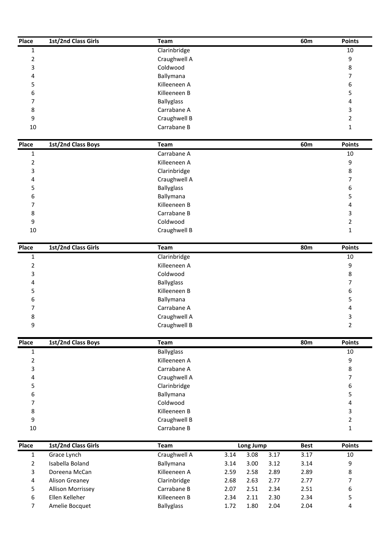| Place          | 1st/2nd Class Girls | Team              |      |           |      | 60m         | <b>Points</b>    |
|----------------|---------------------|-------------------|------|-----------|------|-------------|------------------|
| $\mathbf{1}$   |                     | Clarinbridge      |      |           |      |             | 10               |
| $\overline{2}$ |                     | Craughwell A      |      |           |      |             | 9                |
| 3              |                     | Coldwood          |      |           |      |             | 8                |
| 4              |                     | Ballymana         |      |           |      |             | 7                |
| 5              |                     | Killeeneen A      |      |           |      |             | 6                |
| 6              |                     | Killeeneen B      |      |           |      |             | 5                |
| 7              |                     | <b>Ballyglass</b> |      |           |      |             | 4                |
| 8              |                     | Carrabane A       |      |           |      |             | 3                |
| 9              |                     | Craughwell B      |      |           |      |             | $\overline{2}$   |
| 10             |                     | Carrabane B       |      |           |      |             | $\mathbf{1}$     |
| Place          | 1st/2nd Class Boys  | Team              |      |           |      | 60m         | <b>Points</b>    |
| 1              |                     | Carrabane A       |      |           |      |             | 10               |
| $\overline{2}$ |                     | Killeeneen A      |      |           |      |             | 9                |
| 3              |                     | Clarinbridge      |      |           |      |             | 8                |
| 4              |                     | Craughwell A      |      |           |      |             | 7                |
| 5              |                     | <b>Ballyglass</b> |      |           |      |             | 6                |
| 6              |                     | Ballymana         |      |           |      |             | 5                |
| 7              |                     | Killeeneen B      |      |           |      |             | 4                |
| 8              |                     | Carrabane B       |      |           |      |             | 3                |
| 9              |                     | Coldwood          |      |           |      |             | $\overline{2}$   |
| 10             |                     | Craughwell B      |      |           |      |             | 1                |
| Place          | 1st/2nd Class Girls | Team              |      |           |      | <b>80m</b>  | <b>Points</b>    |
| $\mathbf 1$    |                     | Clarinbridge      |      |           |      |             | 10               |
| $\overline{2}$ |                     | Killeeneen A      |      |           |      |             | 9                |
| 3              |                     | Coldwood          |      |           |      |             | 8                |
| 4              |                     | Ballyglass        |      |           |      |             | $\overline{7}$   |
| 5              |                     | Killeeneen B      |      |           |      |             | 6                |
| 6              |                     | Ballymana         |      |           |      |             | 5                |
| 7              |                     | Carrabane A       |      |           |      |             | $\overline{4}$   |
| 8              |                     | Craughwell A      |      |           |      |             | 3                |
| 9              |                     | Craughwell B      |      |           |      |             | $\overline{2}$   |
| Place          | 1st/2nd Class Boys  | Team              |      |           |      | <b>80m</b>  | <b>Points</b>    |
| $\mathbf{1}$   |                     | <b>Ballyglass</b> |      |           |      |             | 10               |
| $\overline{2}$ |                     | Killeeneen A      |      |           |      |             | 9                |
| 3              |                     | Carrabane A       |      |           |      |             | $\bf 8$          |
| 4              |                     | Craughwell A      |      |           |      |             | $\overline{7}$   |
| 5              |                     | Clarinbridge      |      |           |      |             | $\boldsymbol{6}$ |
| 6              |                     | Ballymana         |      |           |      |             | 5                |
| 7              |                     | Coldwood          |      |           |      |             | $\overline{4}$   |
| 8              |                     | Killeeneen B      |      |           |      |             | 3                |
| 9              |                     | Craughwell B      |      |           |      |             | $\overline{2}$   |
| $10\,$         |                     | Carrabane B       |      |           |      |             | 1                |
| Place          | 1st/2nd Class Girls | <b>Team</b>       |      | Long Jump |      | <b>Best</b> | Points           |
| $\mathbf{1}$   | Grace Lynch         | Craughwell A      | 3.14 | 3.08      | 3.17 | 3.17        | 10               |
| $\overline{2}$ | Isabella Boland     | Ballymana         | 3.14 | 3.00      | 3.12 | 3.14        | 9                |
| 3              | Doreena McCan       | Killeeneen A      | 2.59 | 2.58      | 2.89 | 2.89        | 8                |
| 4              | Alison Greaney      | Clarinbridge      | 2.68 | 2.63      | 2.77 | 2.77        | $\overline{7}$   |
| 5              | Allison Morrissey   | Carrabane B       | 2.07 | 2.51      | 2.34 | 2.51        | 6                |
| 6              | Ellen Kelleher      | Killeeneen B      | 2.34 | 2.11      | 2.30 | 2.34        | 5                |
| $\overline{7}$ | Amelie Bocquet      | Ballyglass        | 1.72 | 1.80      | 2.04 | 2.04        | 4                |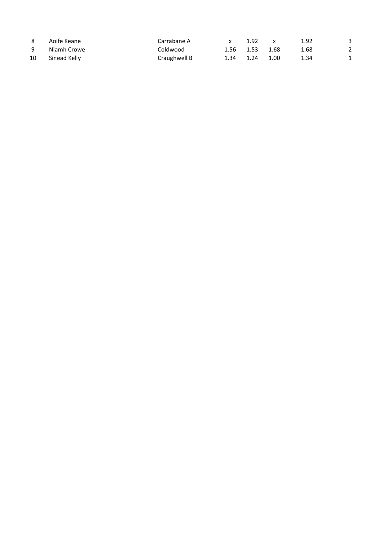| 8  | Aoife Keane  | Carrabane A  | x    | 1.92 | X    | 1.92 | 3 |
|----|--------------|--------------|------|------|------|------|---|
| 9  | Niamh Crowe  | Coldwood     | 1.56 | 1.53 | 1.68 | 1.68 | 2 |
| 10 | Sinead Kelly | Craughwell B | 1.34 | 1.24 | 1.00 | 1.34 | 1 |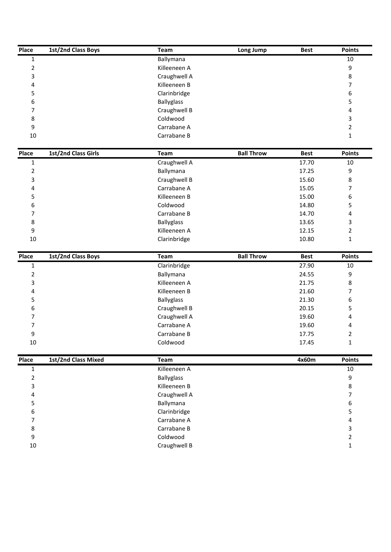| Place          | 1st/2nd Class Boys  | Team                              | Long Jump         | <b>Best</b> | <b>Points</b>                   |
|----------------|---------------------|-----------------------------------|-------------------|-------------|---------------------------------|
| $\mathbf{1}$   |                     | Ballymana                         |                   |             | $10\,$                          |
| 2              |                     | Killeeneen A                      |                   |             | 9                               |
| 3              |                     | Craughwell A                      |                   |             | $\,8\,$                         |
| 4              |                     | Killeeneen B                      |                   |             | 7                               |
| 5              |                     | Clarinbridge                      |                   |             | 6                               |
| 6              |                     | <b>Ballyglass</b>                 |                   |             | 5                               |
| 7              |                     | Craughwell B                      |                   |             | 4                               |
| 8              |                     | Coldwood                          |                   |             | 3                               |
| 9              |                     | Carrabane A                       |                   |             | $\overline{2}$                  |
| 10             |                     | Carrabane B                       |                   |             | 1                               |
| Place          | 1st/2nd Class Girls | Team                              | <b>Ball Throw</b> | <b>Best</b> | <b>Points</b>                   |
| $\mathbf 1$    |                     | Craughwell A                      |                   | 17.70       | $10\,$                          |
| $\overline{2}$ |                     | Ballymana                         |                   | 17.25       | 9                               |
| 3              |                     | Craughwell B                      |                   | 15.60       | $\,8\,$                         |
| 4              |                     | Carrabane A                       |                   | 15.05       | $\overline{7}$                  |
| 5              |                     | Killeeneen B                      |                   | 15.00       | 6                               |
| 6              |                     | Coldwood                          |                   | 14.80       | 5                               |
| 7              |                     | Carrabane B                       |                   | 14.70       | 4                               |
| 8              |                     | <b>Ballyglass</b>                 |                   | 13.65       | 3                               |
| 9              |                     | Killeeneen A                      |                   | 12.15       | $\overline{2}$                  |
| $10\,$         |                     | Clarinbridge                      |                   | 10.80       | 1                               |
| Place          | 1st/2nd Class Boys  | <b>Team</b>                       | <b>Ball Throw</b> | <b>Best</b> | <b>Points</b>                   |
| $\mathbf{1}$   |                     | Clarinbridge                      |                   | 27.90       | 10                              |
| 2              |                     | Ballymana                         |                   | 24.55       | 9                               |
| 3              |                     | Killeeneen A                      |                   | 21.75       | 8                               |
| 4              |                     | Killeeneen B                      |                   | 21.60       | 7                               |
| 5              |                     | Ballyglass                        |                   | 21.30       | 6                               |
| 6              |                     | Craughwell B                      |                   | 20.15       | 5                               |
| 7              |                     | Craughwell A                      |                   | 19.60       | 4                               |
|                |                     | Carrabane A                       |                   | 19.60       | 4                               |
| 7              |                     |                                   |                   |             |                                 |
| 9              |                     | Carrabane B                       |                   | 17.75       | $\overline{2}$                  |
| $10\,$         |                     | Coldwood                          |                   | 17.45       | 1                               |
|                |                     |                                   |                   |             |                                 |
| $\mathbf{1}$   | 1st/2nd Class Mixed | Team<br>Killeeneen A              |                   | 4x60m       | $10\,$                          |
| $\overline{2}$ |                     |                                   |                   |             | 9                               |
| 3              |                     | <b>Ballyglass</b><br>Killeeneen B |                   |             |                                 |
| 4              |                     |                                   |                   |             | $\bf 8$<br>7                    |
| 5              |                     | Craughwell A                      |                   |             | $\boldsymbol{6}$                |
| 6              |                     | Ballymana                         |                   |             | 5                               |
| Place<br>7     |                     | Clarinbridge<br>Carrabane A       |                   |             | 4                               |
| 8              |                     | Carrabane B                       |                   |             | 3                               |
| 9              |                     | Coldwood                          |                   |             | <b>Points</b><br>$\overline{2}$ |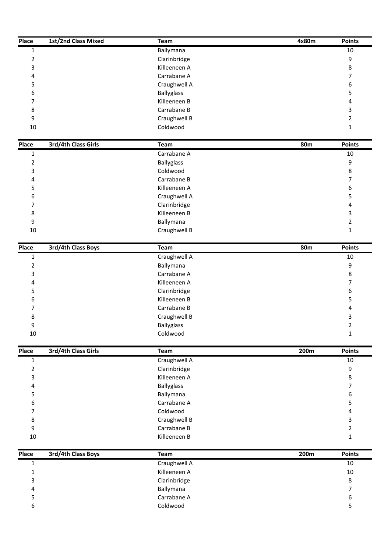| Place          | 1st/2nd Class Mixed | Team              | 4x80m           | <b>Points</b>    |
|----------------|---------------------|-------------------|-----------------|------------------|
| $1\,$          |                     | Ballymana         |                 | $10\,$           |
| $\overline{2}$ |                     | Clarinbridge      |                 | 9                |
| 3              |                     | Killeeneen A      |                 | $\,8\,$          |
| 4              |                     | Carrabane A       |                 | 7                |
| 5              |                     | Craughwell A      |                 | 6                |
| 6              |                     | <b>Ballyglass</b> |                 | 5                |
| 7              |                     | Killeeneen B      |                 | 4                |
| 8              |                     | Carrabane B       |                 | 3                |
| 9              |                     | Craughwell B      |                 | $\overline{2}$   |
| $10\,$         |                     | Coldwood          |                 | 1                |
| Place          | 3rd/4th Class Girls | <b>Team</b>       | 80 <sub>m</sub> | <b>Points</b>    |
| $\mathbf 1$    |                     | Carrabane A       |                 | $10\,$           |
| $\overline{2}$ |                     | <b>Ballyglass</b> |                 | $\boldsymbol{9}$ |
| 3              |                     | Coldwood          |                 | $\,8\,$          |
| 4              |                     | Carrabane B       |                 | $\overline{7}$   |
| 5              |                     | Killeeneen A      |                 | 6                |
| 6              |                     | Craughwell A      |                 | 5                |
| 7              |                     | Clarinbridge      |                 | $\overline{4}$   |
| 8              |                     | Killeeneen B      |                 | 3                |
| 9              |                     | Ballymana         |                 | $\overline{2}$   |
| $10\,$         |                     | Craughwell B      |                 | 1                |
| Place          | 3rd/4th Class Boys  | Team              | <b>80m</b>      | <b>Points</b>    |
| $\mathbf{1}$   |                     | Craughwell A      |                 | 10               |
| $\overline{2}$ |                     | Ballymana         |                 | 9                |
| 3              |                     | Carrabane A       |                 | 8                |
| 4              |                     | Killeeneen A      |                 | $\overline{7}$   |
| 5              |                     | Clarinbridge      |                 | 6                |
| 6              |                     | Killeeneen B      |                 | 5                |
| 7              |                     | Carrabane B       |                 | 4                |
| 8              |                     | Craughwell B      |                 | 3                |
| 9              |                     | Ballyglass        |                 | $\overline{2}$   |
| $10\,$         |                     | Coldwood          |                 | $\mathbf{1}$     |
| Place          | 3rd/4th Class Girls | Team              | 200m            | <b>Points</b>    |
| $\mathbf 1$    |                     | Craughwell A      |                 | $10\,$           |
| $\overline{2}$ |                     | Clarinbridge      |                 | 9                |
| 3              |                     | Killeeneen A      |                 | $\bf 8$          |
| 4              |                     | Ballyglass        |                 | $\overline{7}$   |
| 5              |                     | Ballymana         |                 | 6                |
| 6              |                     | Carrabane A       |                 | 5                |
| 7              |                     | Coldwood          |                 | 4                |
| 8              |                     | Craughwell B      |                 | 3                |
| 9              |                     | Carrabane B       |                 | $\overline{2}$   |
| $10\,$         |                     | Killeeneen B      |                 | 1                |
| Place          | 3rd/4th Class Boys  | Team              | 200m            | <b>Points</b>    |
| $1\,$          |                     | Craughwell A      |                 | $10\,$           |
| $\mathbf{1}$   |                     | Killeeneen A      |                 | $10\,$           |
|                |                     | Clarinbridge      |                 | $\,8\,$          |
| 3              |                     |                   |                 |                  |
| 4              |                     | Ballymana         |                 | $\overline{7}$   |
| 5              |                     | Carrabane A       |                 | $\boldsymbol{6}$ |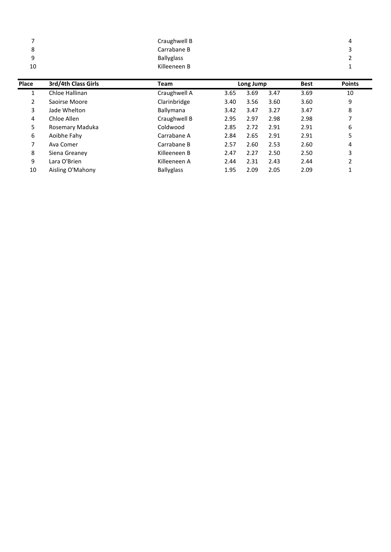| 7     |                     | Craughwell B      |      |           |      |             | 4             |
|-------|---------------------|-------------------|------|-----------|------|-------------|---------------|
| 8     |                     | Carrabane B       |      |           |      |             | 3             |
| 9     |                     | <b>Ballyglass</b> |      |           |      |             | 2             |
| 10    |                     | Killeeneen B      |      |           |      |             | 1             |
|       |                     |                   |      |           |      |             |               |
| Place | 3rd/4th Class Girls | Team              |      | Long Jump |      | <b>Best</b> | <b>Points</b> |
| 1     | Chloe Hallinan      | Craughwell A      | 3.65 | 3.69      | 3.47 | 3.69        | 10            |
| 2     | Saoirse Moore       | Clarinbridge      | 3.40 | 3.56      | 3.60 | 3.60        | 9             |
| 3     | Jade Whelton        | Ballymana         | 3.42 | 3.47      | 3.27 | 3.47        | 8             |
| 4     | Chloe Allen         | Craughwell B      | 2.95 | 2.97      | 2.98 | 2.98        | 7             |
| 5     | Rosemary Maduka     | Coldwood          | 2.85 | 2.72      | 2.91 | 2.91        | 6             |
| 6     | Aoibhe Fahy         | Carrabane A       | 2.84 | 2.65      | 2.91 | 2.91        | 5             |
| 7     | Ava Comer           | Carrabane B       | 2.57 | 2.60      | 2.53 | 2.60        | 4             |
| 8     | Siena Greaney       | Killeeneen B      | 2.47 | 2.27      | 2.50 | 2.50        | 3             |
|       |                     |                   |      |           |      |             |               |
| 9     | Lara O'Brien        | Killeeneen A      | 2.44 | 2.31      | 2.43 | 2.44        | 2             |

 $10\,$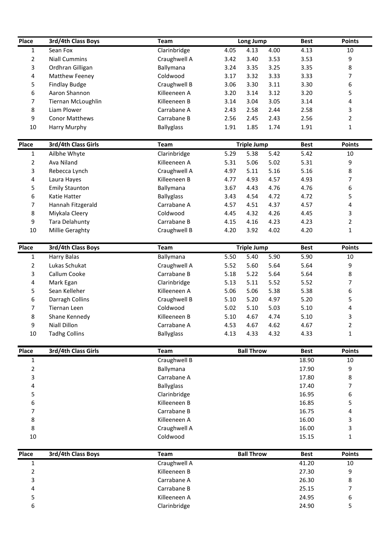| Place<br>$\mathbf{1}$ | 3rd/4th Class Boys<br>Sean Fox | Team<br>Clarinbridge        | Long Jump<br>4.05<br>4.13<br>4.00 | <b>Best</b><br>4.13 | <b>Points</b><br>10 |
|-----------------------|--------------------------------|-----------------------------|-----------------------------------|---------------------|---------------------|
| $\overline{2}$        | <b>Niall Cummins</b>           | Craughwell A                | 3.42<br>3.40<br>3.53              | 3.53                | 9                   |
| 3                     | Ordhran Gilligan               | Ballymana                   | 3.25<br>3.24<br>3.35              | 3.35                | 8                   |
| 4                     | Matthew Feeney                 | Coldwood                    | 3.33<br>3.17<br>3.32              | 3.33                | 7                   |
| 5                     | <b>Findlay Budge</b>           | Craughwell B                | 3.06<br>3.11<br>3.30              | 3.30                | 6                   |
| 6                     | Aaron Shannon                  | Killeeneen A                | 3.20<br>3.12<br>3.14              | 3.20                | 5                   |
| 7                     | Tiernan McLoughlin             | Killeeneen B                | 3.05<br>3.14<br>3.04              | 3.14                | 4                   |
| 8                     | Liam Plower                    | Carrabane A                 | 2.43<br>2.58<br>2.44              | 2.58                | 3                   |
| 9                     | <b>Conor Matthews</b>          | Carrabane B                 | 2.56<br>2.43<br>2.45              | 2.56                | $\overline{a}$      |
| 10                    | Harry Murphy                   | <b>Ballyglass</b>           | 1.91<br>1.74<br>1.85              | 1.91                | 1                   |
| Place                 | 3rd/4th Class Girls            | Team                        | <b>Triple Jump</b>                | <b>Best</b>         | <b>Points</b>       |
| $\mathbf{1}$          | Ailbhe Whyte                   | Clarinbridge                | 5.29<br>5.38<br>5.42              | 5.42                | 10                  |
| $\overline{2}$        | Ava Niland                     | Killeeneen A                | 5.31<br>5.02<br>5.06              | 5.31                | 9                   |
| 3                     | Rebecca Lynch                  | Craughwell A                | 4.97<br>5.16<br>5.11              | 5.16                |                     |
| 4                     | Laura Hayes                    | Killeeneen B                | 4.77<br>4.57<br>4.93              | 4.93                | 8<br>7              |
| 5                     | <b>Emily Staunton</b>          | Ballymana                   | 3.67<br>4.76<br>4.43              | 4.76                | 6                   |
| 6                     | Katie Hatter                   | <b>Ballyglass</b>           | 4.72<br>3.43<br>4.54              | 4.72                | 5                   |
| 7                     | Hannah Fitzgerald              | Carrabane A                 | 4.37<br>4.57<br>4.51              | 4.57                | 4                   |
| 8                     | Miykala Cleery                 | Coldwood                    | 4.26<br>4.45<br>4.32              | 4.45                | 3                   |
| 9                     | <b>Tara Delahunty</b>          | Carrabane B                 | 4.23<br>4.15<br>4.16              | 4.23                | $\overline{2}$      |
| 10                    | Millie Geraghty                | Craughwell B                | 4.02<br>4.20<br>3.92              | 4.20                | 1                   |
|                       |                                |                             |                                   |                     |                     |
| Place                 | 3rd/4th Class Boys             | Team                        | <b>Triple Jump</b>                | <b>Best</b>         | <b>Points</b>       |
| $\mathbf{1}$          | <b>Harry Balas</b>             | Ballymana                   | 5.50<br>5.40<br>5.90              | 5.90                | 10                  |
| $\overline{2}$        | Lukas Schukat                  | Craughwell A                | 5.52<br>5.64<br>5.60              | 5.64                | 9                   |
| 3                     | Callum Cooke                   | Carrabane B                 | 5.18<br>5.22<br>5.64              | 5.64                | 8                   |
| 4                     | Mark Egan                      | Clarinbridge                | 5.13<br>5.11<br>5.52              | 5.52                | 7                   |
| 5                     | Sean Kelleher                  | Killeeneen A                | 5.06<br>5.06<br>5.38              | 5.38                | 6                   |
| 6                     | Darragh Collins                | Craughwell B<br>Coldwood    | 4.97<br>5.10<br>5.20              | 5.20                | 5<br>4              |
| 7                     | Tiernan Leen                   | Killeeneen B                | 5.03<br>5.02<br>5.10<br>4.74      | 5.10                |                     |
| 8<br>9                | Shane Kennedy<br>Niall Dillon  | Carrabane A                 | 5.10<br>4.67                      | 5.10                | 3<br>$\overline{2}$ |
|                       |                                |                             | 4.53<br>4.62<br>4.67              | 4.67                |                     |
| 10                    | <b>Tadhg Collins</b>           | <b>Ballyglass</b>           | 4.13<br>4.32<br>4.33              | 4.33                | 1                   |
| Place                 | 3rd/4th Class Girls            | Team                        | <b>Ball Throw</b>                 | <b>Best</b>         | <b>Points</b>       |
| $1\,$                 |                                | Craughwell B                |                                   | 18.90               | 10                  |
| $\overline{2}$        |                                | Ballymana                   |                                   | 17.90               | 9                   |
| 3                     |                                | Carrabane A                 |                                   | 17.80               | 8                   |
| 4                     |                                | <b>Ballyglass</b>           |                                   | 17.40               | 7                   |
| 5                     |                                | Clarinbridge                |                                   | 16.95               | 6                   |
| 6                     |                                | Killeeneen B                |                                   | 16.85               | 5                   |
| 7                     |                                | Carrabane B<br>Killeeneen A |                                   | 16.75               | 4                   |
| 8                     |                                |                             |                                   | 16.00               | 3                   |
| 8<br>10               |                                | Craughwell A<br>Coldwood    |                                   | 16.00<br>15.15      | 3<br>1              |
|                       |                                |                             |                                   |                     |                     |
| Place                 | 3rd/4th Class Boys             | <b>Team</b>                 | <b>Ball Throw</b>                 | <b>Best</b>         | <b>Points</b>       |
| $\mathbf{1}$          |                                | Craughwell A                |                                   | 41.20               | 10                  |
| $\overline{2}$        |                                | Killeeneen B                |                                   | 27.30               | 9                   |
| 3                     |                                | Carrabane A                 |                                   | 26.30               | 8                   |
| 4                     |                                | Carrabane B                 |                                   | 25.15               | $\overline{7}$      |
| 5                     |                                | Killeeneen A                |                                   | 24.95               | 6                   |
| 6                     |                                | Clarinbridge                |                                   | 24.90               | 5                   |
|                       |                                |                             |                                   |                     |                     |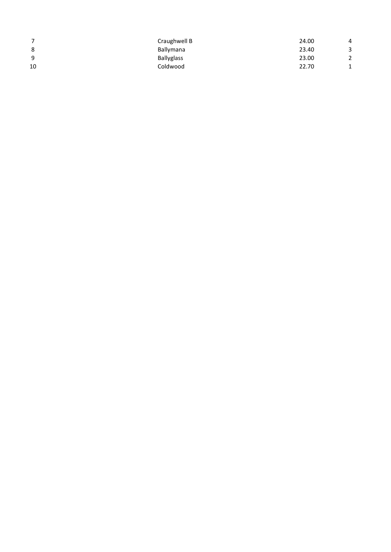| 7  | Craughwell B | 24.00 | 4      |  |
|----|--------------|-------|--------|--|
| 8  | Ballymana    | 23.40 | 3      |  |
| 9  | Ballyglass   | 23.00 | 2      |  |
| 10 | Coldwood     | 22.70 | 1<br>Ŧ |  |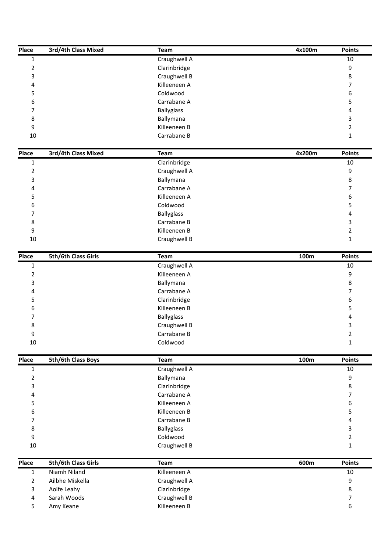| Place          | 3rd/4th Class Mixed | Team                         | 4x100m | <b>Points</b>       |
|----------------|---------------------|------------------------------|--------|---------------------|
| $\mathbf{1}$   |                     | Craughwell A                 |        | 10                  |
| $\overline{2}$ |                     | Clarinbridge                 |        | 9                   |
| 3              |                     | Craughwell B                 |        | $\,8\,$             |
| 4              |                     | Killeeneen A                 |        | 7                   |
| 5              |                     | Coldwood                     |        | 6                   |
| 6              |                     | Carrabane A                  |        | 5                   |
| 7              |                     | <b>Ballyglass</b>            |        | 4                   |
| 8<br>9         |                     | Ballymana<br>Killeeneen B    |        | 3<br>$\overline{2}$ |
| 10             |                     | Carrabane B                  |        | 1                   |
|                |                     |                              |        |                     |
| Place          | 3rd/4th Class Mixed | Team                         | 4x200m | <b>Points</b>       |
| $\mathbf{1}$   |                     | Clarinbridge                 |        | 10                  |
| $\overline{2}$ |                     | Craughwell A                 |        | $\boldsymbol{9}$    |
| 3              |                     | Ballymana                    |        | $\,8\,$             |
| 4              |                     | Carrabane A                  |        | 7                   |
| 5              |                     | Killeeneen A                 |        | 6                   |
| 6              |                     | Coldwood                     |        | 5                   |
| 7              |                     | <b>Ballyglass</b>            |        | 4                   |
| 8              |                     | Carrabane B                  |        | 3                   |
| 9              |                     | Killeeneen B                 |        | $\overline{2}$      |
| $10\,$         |                     | Craughwell B                 |        | 1                   |
| Place          | 5th/6th Class Girls | Team                         | 100m   | <b>Points</b>       |
| $\mathbf{1}$   |                     | Craughwell A                 |        | 10                  |
| $\overline{2}$ |                     | Killeeneen A                 |        | 9                   |
| 3              |                     | Ballymana                    |        | 8                   |
| 4              |                     | Carrabane A                  |        | $\overline{7}$      |
| 5              |                     | Clarinbridge                 |        | 6                   |
| 6              |                     | Killeeneen B                 |        | 5                   |
| 7              |                     | <b>Ballyglass</b>            |        | 4                   |
| 8              |                     | Craughwell B                 |        | 3                   |
| 9              |                     | Carrabane B                  |        | $\overline{2}$      |
| $10\,$         |                     | Coldwood                     |        | 1                   |
| Place          | 5th/6th Class Boys  | Team                         | 100m   | <b>Points</b>       |
| $\mathbf{1}$   |                     | Craughwell A                 |        | $10\,$              |
| 2              |                     | Ballymana                    |        | 9                   |
| 3              |                     | Clarinbridge                 |        | 8                   |
| 4              |                     | Carrabane A                  |        | $\overline{7}$      |
| 5              |                     | Killeeneen A                 |        | $\boldsymbol{6}$    |
| 6              |                     | Killeeneen B                 |        | 5                   |
| 7              |                     | Carrabane B                  |        | 4                   |
| 8              |                     | <b>Ballyglass</b>            |        | 3                   |
| 9              |                     | Coldwood                     |        | $\overline{2}$      |
| $10\,$         |                     | Craughwell B                 |        | 1                   |
| Place          | 5th/6th Class Girls | Team                         | 600m   | <b>Points</b>       |
| $\mathbf 1$    | Niamh Niland        | Killeeneen A                 |        | $10\,$              |
| $\overline{2}$ | Ailbhe Miskella     | Craughwell A                 |        | 9                   |
|                |                     |                              |        |                     |
| 3              | Aoife Leahy         |                              |        | $\,8\,$             |
| 4              | Sarah Woods         | Clarinbridge<br>Craughwell B |        | $\overline{7}$      |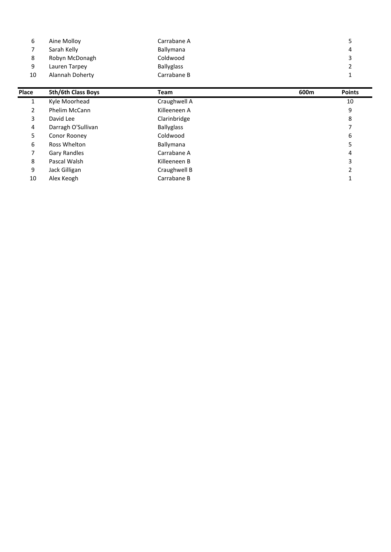| 6     | Aine Molloy         | Carrabane A       |      | 5             |
|-------|---------------------|-------------------|------|---------------|
| 7     | Sarah Kelly         | Ballymana         |      | 4             |
| 8     | Robyn McDonagh      | Coldwood          |      | 3             |
| 9     | Lauren Tarpey       | <b>Ballyglass</b> |      | 2             |
| 10    | Alannah Doherty     | Carrabane B       |      | 1             |
| Place | 5th/6th Class Boys  | Team              | 600m | <b>Points</b> |
| 1     | Kyle Moorhead       | Craughwell A      |      | 10            |
| 2     | Phelim McCann       | Killeeneen A      |      | 9             |
| 3     | David Lee           | Clarinbridge      |      | 8             |
| 4     | Darragh O'Sullivan  | <b>Ballyglass</b> |      | 7             |
| 5     | Conor Rooney        | Coldwood          |      | 6             |
| 6     | Ross Whelton        | Ballymana         |      | 5             |
| 7     | <b>Gary Randles</b> | Carrabane A       |      | 4             |
| 8     | Pascal Walsh        | Killeeneen B      |      | 3             |
| 9     | Jack Gilligan       | Craughwell B      |      | 2             |
|       |                     |                   |      |               |

 $10\,$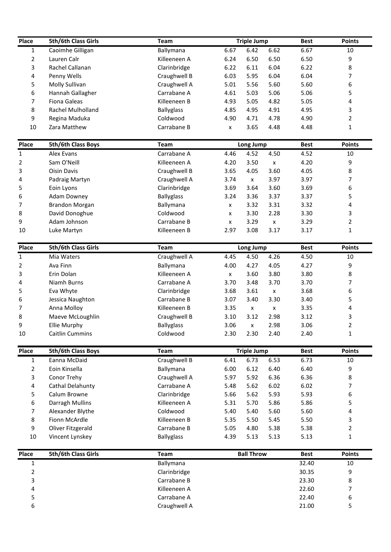| Place          | 5th/6th Class Girls    | Team                          |                    | <b>Triple Jump</b> |                    | <b>Best</b> | <b>Points</b>       |
|----------------|------------------------|-------------------------------|--------------------|--------------------|--------------------|-------------|---------------------|
| $\mathbf{1}$   | Caoimhe Gilligan       | Ballymana                     | 6.67               | 6.42               | 6.62               | 6.67        | 10                  |
| $\overline{2}$ | Lauren Calr            | Killeeneen A                  | 6.24               | 6.50               | 6.50               | 6.50        | 9                   |
| 3              | Rachel Callanan        | Clarinbridge                  | 6.22               | 6.11               | 6.04               | 6.22        | 8                   |
| 4              | Penny Wells            | Craughwell B                  | 6.03               | 5.95               | 6.04               | 6.04        | 7                   |
| 5              | Molly Sullivan         | Craughwell A                  | 5.01               | 5.56               | 5.60               | 5.60        | 6                   |
| 6              | Hannah Gallagher       | Carrabane A                   | 4.61               | 5.03               | 5.06               | 5.06        | 5                   |
| 7              | Fiona Galeas           | Killeeneen B                  | 4.93               | 5.05               | 4.82               | 5.05        | 4                   |
|                | Rachel Mulholland      |                               |                    |                    | 4.91               |             |                     |
| 8              |                        | <b>Ballyglass</b><br>Coldwood | 4.85               | 4.95               | 4.78               | 4.95        | 3<br>$\overline{2}$ |
| 9              | Regina Maduka          |                               | 4.90               | 4.71               |                    | 4.90        |                     |
| 10             | Zara Matthew           | Carrabane B                   | X                  | 3.65               | 4.48               | 4.48        | 1                   |
| Place          | 5th/6th Class Boys     | <b>Team</b>                   |                    | Long Jump          |                    | <b>Best</b> | <b>Points</b>       |
| 1              | Alex Evans             | Carrabane A                   | 4.46               | 4.52               | 4.50               | 4.52        | 10                  |
| 2              | Sam O'Neill            | Killeeneen A                  | 4.20               | 3.50               | x                  | 4.20        | 9                   |
| 3              | Oisin Davis            | Craughwell B                  | 3.65               | 4.05               | 3.60               | 4.05        | 8                   |
| 4              | Padraig Martyn         | Craughwell A                  | 3.74               | $\pmb{\mathsf{x}}$ | 3.97               | 3.97        | 7                   |
| 5              | Eoin Lyons             | Clarinbridge                  | 3.69               | 3.64               | 3.60               | 3.69        | 6                   |
| 6              | <b>Adam Downey</b>     | <b>Ballyglass</b>             | 3.24               | 3.36               | 3.37               | 3.37        | 5                   |
| 7              | <b>Brandon Morgan</b>  | Ballymana                     | x                  | 3.32               | 3.31               | 3.32        | 4                   |
| 8              | David Donoghue         | Coldwood                      | x                  | 3.30               | 2.28               | 3.30        | 3                   |
| 9              | Adam Johnson           | Carrabane B                   | $\pmb{\mathsf{x}}$ | 3.29               | x                  | 3.29        | $\overline{2}$      |
| 10             | Luke Martyn            | Killeeneen B                  | 2.97               | 3.08               | 3.17               | 3.17        | 1                   |
| Place          | 5th/6th Class Girls    | Team                          |                    | Long Jump          |                    | <b>Best</b> | <b>Points</b>       |
| 1              | Mia Waters             | Craughwell A                  | 4.45               | 4.50               | 4.26               | 4.50        | 10                  |
| 2              | Ava Finn               | Ballymana                     | 4.00               | 4.27               | 4.05               | 4.27        | 9                   |
| 3              | Erin Dolan             | Killeeneen A                  | $\pmb{\mathsf{x}}$ | 3.60               | 3.80               | 3.80        | 8                   |
| 4              | Niamh Burns            | Carrabane A                   | 3.70               | 3.48               | 3.70               | 3.70        | 7                   |
| 5              | Eva Whyte              | Clarinbridge                  | 3.68               | 3.61               | x                  | 3.68        | 6                   |
| 6              | Jessica Naughton       | Carrabane B                   | 3.07               | 3.40               | 3.30               | 3.40        | 5                   |
| 7              | Anna Molloy            | Killeeneen B                  | 3.35               | X                  | $\pmb{\mathsf{x}}$ | 3.35        | 4                   |
| 8              | Maeve McLoughlin       | Craughwell B                  | 3.10               | 3.12               | 2.98               | 3.12        | 3                   |
| 9              | <b>Ellie Murphy</b>    | <b>Ballyglass</b>             | 3.06               | $\pmb{\mathsf{X}}$ | 2.98               | 3.06        | $\overline{2}$      |
| 10             | <b>Caitlin Cummins</b> | Coldwood                      | 2.30               | 2.30               | 2.40               | 2.40        | 1                   |
|                |                        |                               |                    |                    |                    |             |                     |
| Place          | 5th/6th Class Boys     | Team                          |                    | <b>Triple Jump</b> |                    | <b>Best</b> | <b>Points</b>       |
| $\mathbf{1}$   | Eanna McDaid           | Craughwell B                  | 6.41               | 6.73               | 6.53               | 6.73        | 10                  |
| 2              | Eoin Kinsella          | Ballymana                     | 6.00               | 6.12               | 6.40               | 6.40        | 9                   |
| 3              | Conor Trehy            | Craughwell A                  | 5.97               | 5.92               | 6.36               | 6.36        | 8                   |
| 4              | Cathal Delahunty       | Carrabane A                   | 5.48               | 5.62               | 6.02               | 6.02        | 7                   |
| 5              | Calum Browne           | Clarinbridge                  | 5.66               | 5.62               | 5.93               | 5.93        | 6                   |
| 6              | Darragh Mullins        | Killeeneen A                  | 5.31               | 5.70               | 5.86               | 5.86        | 5                   |
| 7              | Alexander Blythe       | Coldwood                      | 5.40               | 5.40               | 5.60               | 5.60        | 4                   |
| 8              | Fionn McArdle          | Killeeneen B                  | 5.35               | 5.50               | 5.45               | 5.50        | 3                   |
| 9              | Oliver Fitzgerald      | Carrabane B                   | 5.05               | 4.80               | 5.38               | 5.38        | $\overline{2}$      |
| 10             | Vincent Lynskey        | <b>Ballyglass</b>             | 4.39               | 5.13               | 5.13               | 5.13        | 1                   |
| Place          | 5th/6th Class Girls    | <b>Team</b>                   |                    | <b>Ball Throw</b>  |                    | <b>Best</b> | <b>Points</b>       |
| $\mathbf{1}$   |                        | Ballymana                     |                    |                    |                    | 32.40       | 10                  |
| $\overline{2}$ |                        | Clarinbridge                  |                    |                    |                    | 30.35       | 9                   |
|                |                        | Carrabane B                   |                    |                    |                    | 23.30       | 8                   |
| 3              |                        |                               |                    |                    |                    |             |                     |
| 4              |                        | Killeeneen A                  |                    |                    |                    | 22.60       | 7                   |
| 5              |                        | Carrabane A                   |                    |                    |                    | 22.40       | 6                   |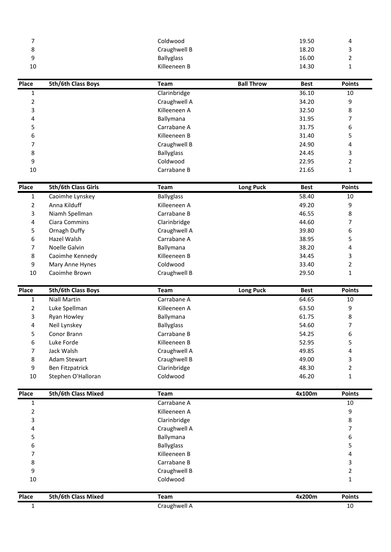| Coldwood<br>7<br>19.50<br>4<br>8<br>Craughwell B<br>3<br>18.20<br>$9$<br><b>Ballyglass</b><br>16.00<br>2<br>10<br>Killeeneen B<br>14.30<br>1<br>Place<br>5th/6th Class Boys<br><b>Ball Throw</b><br>Team<br><b>Best</b> | <b>Points</b> | 1<br>$\overline{2}$ | Clarinbridge<br>Craughwell A | 36.10<br>34.20 | 10<br>9 |
|-------------------------------------------------------------------------------------------------------------------------------------------------------------------------------------------------------------------------|---------------|---------------------|------------------------------|----------------|---------|
|                                                                                                                                                                                                                         |               |                     |                              |                |         |
|                                                                                                                                                                                                                         |               |                     |                              |                |         |
|                                                                                                                                                                                                                         |               |                     |                              |                |         |
|                                                                                                                                                                                                                         |               |                     |                              |                |         |
|                                                                                                                                                                                                                         |               |                     |                              |                |         |
|                                                                                                                                                                                                                         |               |                     |                              |                |         |
|                                                                                                                                                                                                                         |               |                     |                              |                |         |

| 9              |                     | <b>Ballyglass</b> |                   | 16.00       |               |
|----------------|---------------------|-------------------|-------------------|-------------|---------------|
| 10             |                     | Killeeneen B      |                   | 14.30       |               |
| Place          | 5th/6th Class Boys  | Team              | <b>Ball Throw</b> | <b>Best</b> | <b>Points</b> |
| $\overline{1}$ |                     | Clarinbridge      |                   | 36.10       | 10            |
| 2              |                     | Craughwell A      |                   | 34.20       | 9             |
| 3              |                     | Killeeneen A      |                   | 32.50       | 8             |
| 4              |                     | Ballymana         |                   | 31.95       | 7             |
| 5              |                     | Carrabane A       |                   | 31.75       | 6             |
| 6              |                     | Killeeneen B      |                   | 31.40       | 5             |
| 7              |                     | Craughwell B      |                   | 24.90       | 4             |
| 8              |                     | <b>Ballyglass</b> |                   | 24.45       | 3             |
| 9              |                     | Coldwood          |                   | 22.95       | 2             |
| 10             |                     | Carrabane B       |                   | 21.65       | 1             |
| Place          | 5th/6th Class Girls | Team              | <b>Long Puck</b>  | <b>Best</b> | <b>Points</b> |
|                | Caoimhe Lynskey     | <b>Ballvglass</b> |                   | 58.40       | 10            |

| 8     |                     | Ballyglass        |                  | 24.45       | 3             |
|-------|---------------------|-------------------|------------------|-------------|---------------|
| 9     |                     | Coldwood          |                  | 22.95       | 2             |
| 10    |                     | Carrabane B       |                  | 21.65       |               |
| Place | 5th/6th Class Girls | Team              | <b>Long Puck</b> | <b>Best</b> | <b>Points</b> |
| 1     | Caoimhe Lynskey     | <b>Ballyglass</b> |                  | 58.40       | 10            |
| 2     | Anna Kilduff        | Killeeneen A      |                  | 49.20       | 9             |
| 3     | Niamh Spellman      | Carrabane B       |                  | 46.55       | 8             |
| 4     | Ciara Commins       | Clarinbridge      |                  | 44.60       | 7             |
| 5     | Ornagh Duffy        | Craughwell A      |                  | 39.80       | 6             |
| 6     | Hazel Walsh         | Carrabane A       |                  | 38.95       | 5             |
|       | Noelle Galvin       | Ballymana         |                  | 38.20       | 4             |
| 8     | Caoimhe Kennedy     | Killeeneen B      |                  | 34.45       | 3             |
| 9     | Mary Anne Hynes     | Coldwood          |                  | 33.40       | 2             |
| 10    | Caoimhe Brown       | Craughwell B      |                  | 29.50       |               |
| Place | 5th/6th Class Boys  | Team              | <b>Long Puck</b> | <b>Best</b> | <b>Points</b> |
|       | Niall Martin        | Carrabane A       |                  | 64.65       | 10            |

|       |                     | Carrabane A       |                  |             | 10            |
|-------|---------------------|-------------------|------------------|-------------|---------------|
| Place | 5th/6th Class Mixed | Team              |                  | 4x100m      | <b>Points</b> |
|       |                     |                   |                  |             |               |
| 10    | Stephen O'Halloran  | Coldwood          |                  | 46.20       |               |
| 9     | Ben Fitzpatrick     | Clarinbridge      |                  | 48.30       | 2             |
| 8     | Adam Stewart        | Craughwell B      |                  | 49.00       | 3             |
| 7     | Jack Walsh          | Craughwell A      |                  | 49.85       | 4             |
| 6     | Luke Forde          | Killeeneen B      |                  | 52.95       | 5             |
| 5.    | Conor Brann         | Carrabane B       |                  | 54.25       | 6             |
| 4     | Neil Lynskey        | <b>Ballyglass</b> |                  | 54.60       | 7             |
| 3     | Ryan Howley         | <b>Ballymana</b>  |                  | 61.75       | 8             |
| 2     | Luke Spellman       | Killeeneen A      |                  | 63.50       | 9             |
| 1     | Niall Martin        | Carrabane A       |                  | 64.65       | 10            |
| Place | 5th/6th Class Boys  | Team              | <b>Long Puck</b> | <b>Best</b> | <b>Points</b> |
|       |                     |                   |                  |             |               |
| 10    | Caoimhe Brown       | Craughwell B      |                  | 29.50       | 1             |
| 9     | Mary Anne Hynes     | Coldwood          |                  | 33.40       | 2             |
| 8     | Caoimne Kennedy     | Killeeneen B      |                  | 34.45       | 3.            |

| 7              |                        | Coldwood          |                   | 19.50       | 4              |
|----------------|------------------------|-------------------|-------------------|-------------|----------------|
| 8              |                        | Craughwell B      |                   | 18.20       | 3              |
| 9              |                        | <b>Ballyglass</b> |                   | 16.00       | $\overline{2}$ |
| 10             |                        | Killeeneen B      |                   | 14.30       | 1              |
| Place          | 5th/6th Class Boys     | Team              | <b>Ball Throw</b> | <b>Best</b> | <b>Points</b>  |
| $\mathbf{1}$   |                        | Clarinbridge      |                   | 36.10       | 10             |
| $\overline{2}$ |                        | Craughwell A      |                   | 34.20       | 9              |
| 3              |                        | Killeeneen A      |                   | 32.50       | 8              |
| 4              |                        | Ballymana         |                   | 31.95       | 7              |
| 5              |                        | Carrabane A       |                   | 31.75       | 6              |
| 6              |                        | Killeeneen B      |                   | 31.40       | 5              |
| 7              |                        | Craughwell B      |                   | 24.90       | 4              |
| 8              |                        | <b>Ballyglass</b> |                   | 24.45       | 3              |
| 9              |                        | Coldwood          |                   | 22.95       | $\overline{2}$ |
| 10             |                        | Carrabane B       |                   | 21.65       | 1              |
| Place          | 5th/6th Class Girls    | Team              | <b>Long Puck</b>  | <b>Best</b> | <b>Points</b>  |
| $\mathbf{1}$   | Caoimhe Lynskey        | <b>Ballyglass</b> |                   | 58.40       | 10             |
| $\overline{2}$ | Anna Kilduff           | Killeeneen A      |                   | 49.20       | 9              |
| 3              | Niamh Spellman         | Carrabane B       |                   | 46.55       | 8              |
| 4              | Ciara Commins          | Clarinbridge      |                   | 44.60       | 7              |
| 5              | Ornagh Duffy           | Craughwell A      |                   | 39.80       | 6              |
| 6              | Hazel Walsh            | Carrabane A       |                   | 38.95       | 5              |
| 7              | Noelle Galvin          | Ballymana         |                   | 38.20       | 4              |
| 8              | Caoimhe Kennedy        | Killeeneen B      |                   | 34.45       | 3              |
| 9              | Mary Anne Hynes        | Coldwood          |                   | 33.40       | 2              |
| 10             | Caoimhe Brown          | Craughwell B      |                   | 29.50       | 1              |
| Place          | 5th/6th Class Boys     | <b>Team</b>       | <b>Long Puck</b>  | <b>Best</b> | <b>Points</b>  |
| $\mathbf{1}$   | <b>Niall Martin</b>    | Carrabane A       |                   | 64.65       | 10             |
| 2              | Luke Spellman          | Killeeneen A      |                   | 63.50       | 9              |
| 3              | Ryan Howley            | Ballymana         |                   | 61.75       | 8              |
| 4              | Neil Lynskey           | Ballyglass        |                   | 54.60       | 7              |
| 5              | Conor Brann            | Carrabane B       |                   | 54.25       | 6              |
| 6              | Luke Forde             | Killeeneen B      |                   | 52.95       | 5              |
| 7              | Jack Walsh             | Craughwell A      |                   | 49.85       | 4              |
| 8              | Adam Stewart           | Craughwell B      |                   | 49.00       | 3              |
| 9              | <b>Ben Fitzpatrick</b> | Clarinbridge      |                   | 48.30       | 2              |
| 10             | Stephen O'Halloran     | Coldwood          |                   | 46.20       | 1              |
| Place          | 5th/6th Class Mixed    | Team              |                   | 4x100m      | <b>Points</b>  |
| $\mathbf{1}$   |                        | Carrabane A       |                   |             | $10\,$         |
| 2              |                        | Killeeneen A      |                   |             | 9              |
| 3              |                        | Clarinbridge      |                   |             | 8              |
| 4              |                        | Craughwell A      |                   |             | $\overline{7}$ |
| 5              |                        | Ballymana         |                   |             | 6              |
| 6              |                        | <b>Ballyglass</b> |                   |             | 5              |
| 7              |                        | Killeeneen B      |                   |             | 4              |
| 8              |                        | Carrabane B       |                   |             | 3              |
| 9              |                        | Craughwell B      |                   |             | $\overline{2}$ |
| $10\,$         |                        | Coldwood          |                   |             | 1              |
| Place          | 5th/6th Class Mixed    | <b>Team</b>       |                   | 4x200m      | <b>Points</b>  |
|                |                        |                   |                   |             |                |
| $\mathbf{1}$   |                        | Craughwell A      |                   |             | 10             |